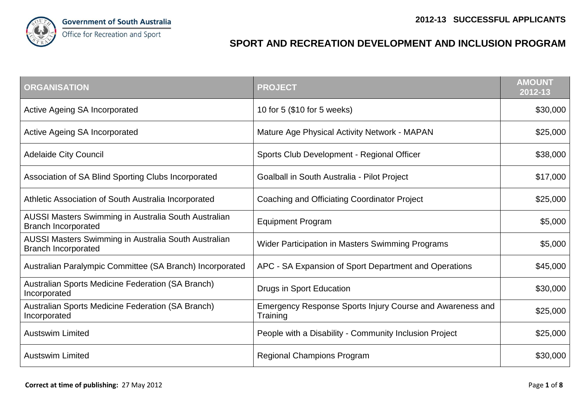

## **SPORT AND RECREATION DEVELOPMENT AND INCLUSION PROGRAM**

| <b>ORGANISATION</b>                                                                       | <b>PROJECT</b>                                                        | <b>AMOUNT</b><br>2012-13 |
|-------------------------------------------------------------------------------------------|-----------------------------------------------------------------------|--------------------------|
| <b>Active Ageing SA Incorporated</b>                                                      | 10 for 5 (\$10 for 5 weeks)                                           | \$30,000                 |
| <b>Active Ageing SA Incorporated</b>                                                      | Mature Age Physical Activity Network - MAPAN                          | \$25,000                 |
| <b>Adelaide City Council</b>                                                              | Sports Club Development - Regional Officer                            | \$38,000                 |
| Association of SA Blind Sporting Clubs Incorporated                                       | Goalball in South Australia - Pilot Project                           | \$17,000                 |
| Athletic Association of South Australia Incorporated                                      | Coaching and Officiating Coordinator Project                          | \$25,000                 |
| AUSSI Masters Swimming in Australia South Australian<br><b>Branch Incorporated</b>        | <b>Equipment Program</b>                                              | \$5,000                  |
| <b>AUSSI Masters Swimming in Australia South Australian</b><br><b>Branch Incorporated</b> | Wider Participation in Masters Swimming Programs                      | \$5,000                  |
| Australian Paralympic Committee (SA Branch) Incorporated                                  | APC - SA Expansion of Sport Department and Operations                 | \$45,000                 |
| Australian Sports Medicine Federation (SA Branch)<br>Incorporated                         | Drugs in Sport Education                                              | \$30,000                 |
| Australian Sports Medicine Federation (SA Branch)<br>Incorporated                         | Emergency Response Sports Injury Course and Awareness and<br>Training | \$25,000                 |
| <b>Austswim Limited</b>                                                                   | People with a Disability - Community Inclusion Project                | \$25,000                 |
| <b>Austswim Limited</b>                                                                   | <b>Regional Champions Program</b>                                     | \$30,000                 |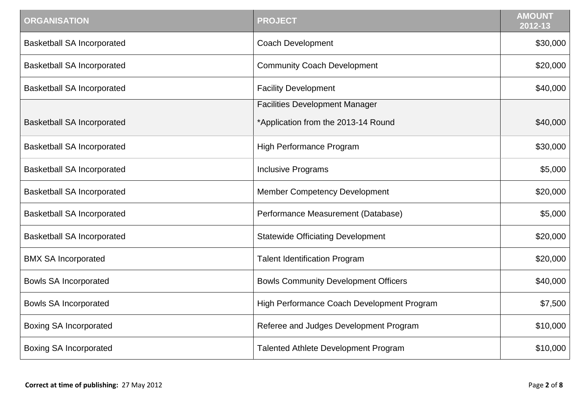| <b>ORGANISATION</b>               | <b>PROJECT</b>                              | <b>AMOUNT</b><br>2012-13 |
|-----------------------------------|---------------------------------------------|--------------------------|
| <b>Basketball SA Incorporated</b> | <b>Coach Development</b>                    | \$30,000                 |
| <b>Basketball SA Incorporated</b> | <b>Community Coach Development</b>          | \$20,000                 |
| <b>Basketball SA Incorporated</b> | <b>Facility Development</b>                 | \$40,000                 |
|                                   | <b>Facilities Development Manager</b>       |                          |
| <b>Basketball SA Incorporated</b> | *Application from the 2013-14 Round         | \$40,000                 |
| <b>Basketball SA Incorporated</b> | High Performance Program                    | \$30,000                 |
| <b>Basketball SA Incorporated</b> | <b>Inclusive Programs</b>                   | \$5,000                  |
| <b>Basketball SA Incorporated</b> | <b>Member Competency Development</b>        | \$20,000                 |
| <b>Basketball SA Incorporated</b> | Performance Measurement (Database)          | \$5,000                  |
| <b>Basketball SA Incorporated</b> | <b>Statewide Officiating Development</b>    | \$20,000                 |
| <b>BMX SA Incorporated</b>        | <b>Talent Identification Program</b>        | \$20,000                 |
| <b>Bowls SA Incorporated</b>      | <b>Bowls Community Development Officers</b> | \$40,000                 |
| <b>Bowls SA Incorporated</b>      | High Performance Coach Development Program  | \$7,500                  |
| <b>Boxing SA Incorporated</b>     | Referee and Judges Development Program      | \$10,000                 |
| <b>Boxing SA Incorporated</b>     | <b>Talented Athlete Development Program</b> | \$10,000                 |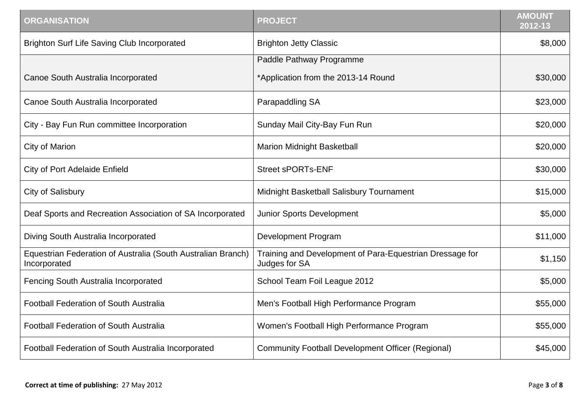| <b>ORGANISATION</b>                                                          | <b>PROJECT</b>                                                            | <b>AMOUNT</b><br>2012-13 |
|------------------------------------------------------------------------------|---------------------------------------------------------------------------|--------------------------|
| <b>Brighton Surf Life Saving Club Incorporated</b>                           | <b>Brighton Jetty Classic</b>                                             | \$8,000                  |
|                                                                              | Paddle Pathway Programme                                                  |                          |
| Canoe South Australia Incorporated                                           | *Application from the 2013-14 Round                                       | \$30,000                 |
| Canoe South Australia Incorporated                                           | Parapaddling SA                                                           | \$23,000                 |
| City - Bay Fun Run committee Incorporation                                   | Sunday Mail City-Bay Fun Run                                              | \$20,000                 |
| City of Marion                                                               | Marion Midnight Basketball                                                | \$20,000                 |
| <b>City of Port Adelaide Enfield</b>                                         | <b>Street sPORTs-ENF</b>                                                  | \$30,000                 |
| <b>City of Salisbury</b>                                                     | Midnight Basketball Salisbury Tournament                                  | \$15,000                 |
| Deaf Sports and Recreation Association of SA Incorporated                    | <b>Junior Sports Development</b>                                          | \$5,000                  |
| Diving South Australia Incorporated                                          | <b>Development Program</b>                                                | \$11,000                 |
| Equestrian Federation of Australia (South Australian Branch)<br>Incorporated | Training and Development of Para-Equestrian Dressage for<br>Judges for SA | \$1,150                  |
| Fencing South Australia Incorporated                                         | School Team Foil League 2012                                              | \$5,000                  |
| Football Federation of South Australia                                       | Men's Football High Performance Program                                   | \$55,000                 |
| <b>Football Federation of South Australia</b>                                | Women's Football High Performance Program                                 | \$55,000                 |
| Football Federation of South Australia Incorporated                          | <b>Community Football Development Officer (Regional)</b>                  | \$45,000                 |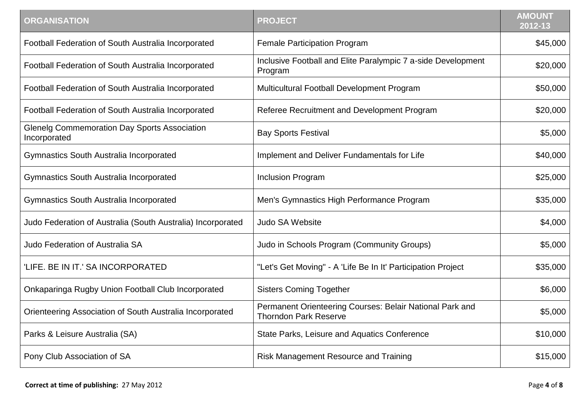| <b>ORGANISATION</b>                                                 | <b>PROJECT</b>                                                                           | <b>AMOUNT</b><br>$2012 - 13$ |
|---------------------------------------------------------------------|------------------------------------------------------------------------------------------|------------------------------|
| Football Federation of South Australia Incorporated                 | <b>Female Participation Program</b>                                                      | \$45,000                     |
| Football Federation of South Australia Incorporated                 | Inclusive Football and Elite Paralympic 7 a-side Development<br>Program                  | \$20,000                     |
| Football Federation of South Australia Incorporated                 | Multicultural Football Development Program                                               | \$50,000                     |
| Football Federation of South Australia Incorporated                 | Referee Recruitment and Development Program                                              | \$20,000                     |
| <b>Glenelg Commemoration Day Sports Association</b><br>Incorporated | <b>Bay Sports Festival</b>                                                               | \$5,000                      |
| <b>Gymnastics South Australia Incorporated</b>                      | Implement and Deliver Fundamentals for Life                                              | \$40,000                     |
| <b>Gymnastics South Australia Incorporated</b>                      | <b>Inclusion Program</b>                                                                 | \$25,000                     |
| <b>Gymnastics South Australia Incorporated</b>                      | Men's Gymnastics High Performance Program                                                | \$35,000                     |
| Judo Federation of Australia (South Australia) Incorporated         | <b>Judo SA Website</b>                                                                   | \$4,000                      |
| Judo Federation of Australia SA                                     | Judo in Schools Program (Community Groups)                                               | \$5,000                      |
| 'LIFE. BE IN IT.' SA INCORPORATED                                   | "Let's Get Moving" - A 'Life Be In It' Participation Project                             | \$35,000                     |
| Onkaparinga Rugby Union Football Club Incorporated                  | <b>Sisters Coming Together</b>                                                           | \$6,000                      |
| Orienteering Association of South Australia Incorporated            | Permanent Orienteering Courses: Belair National Park and<br><b>Thorndon Park Reserve</b> | \$5,000                      |
| Parks & Leisure Australia (SA)                                      | State Parks, Leisure and Aquatics Conference                                             | \$10,000                     |
| Pony Club Association of SA                                         | Risk Management Resource and Training                                                    | \$15,000                     |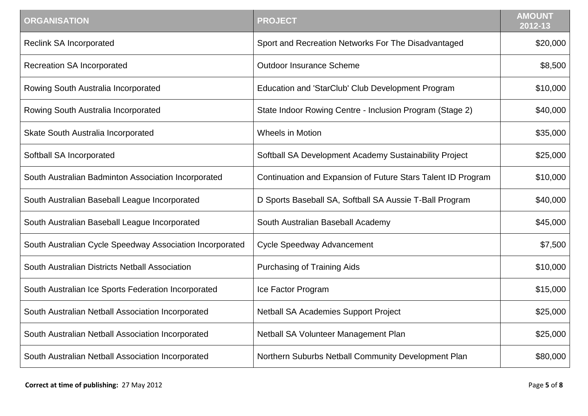| <b>ORGANISATION</b>                                      | <b>PROJECT</b>                                               | <b>AMOUNT</b><br>$2012 - 13$ |
|----------------------------------------------------------|--------------------------------------------------------------|------------------------------|
| <b>Reclink SA Incorporated</b>                           | Sport and Recreation Networks For The Disadvantaged          | \$20,000                     |
| <b>Recreation SA Incorporated</b>                        | <b>Outdoor Insurance Scheme</b>                              | \$8,500                      |
| Rowing South Australia Incorporated                      | Education and 'StarClub' Club Development Program            | \$10,000                     |
| Rowing South Australia Incorporated                      | State Indoor Rowing Centre - Inclusion Program (Stage 2)     | \$40,000                     |
| Skate South Australia Incorporated                       | <b>Wheels in Motion</b>                                      | \$35,000                     |
| Softball SA Incorporated                                 | Softball SA Development Academy Sustainability Project       | \$25,000                     |
| South Australian Badminton Association Incorporated      | Continuation and Expansion of Future Stars Talent ID Program | \$10,000                     |
| South Australian Baseball League Incorporated            | D Sports Baseball SA, Softball SA Aussie T-Ball Program      | \$40,000                     |
| South Australian Baseball League Incorporated            | South Australian Baseball Academy                            | \$45,000                     |
| South Australian Cycle Speedway Association Incorporated | <b>Cycle Speedway Advancement</b>                            | \$7,500                      |
| South Australian Districts Netball Association           | <b>Purchasing of Training Aids</b>                           | \$10,000                     |
| South Australian Ice Sports Federation Incorporated      | Ice Factor Program                                           | \$15,000                     |
| South Australian Netball Association Incorporated        | <b>Netball SA Academies Support Project</b>                  | \$25,000                     |
| South Australian Netball Association Incorporated        | Netball SA Volunteer Management Plan                         | \$25,000                     |
| South Australian Netball Association Incorporated        | Northern Suburbs Netball Community Development Plan          | \$80,000                     |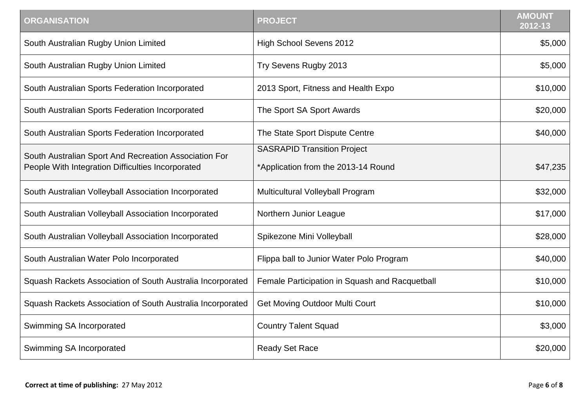| <b>ORGANISATION</b>                                                                                        | <b>PROJECT</b>                                                            | <b>AMOUNT</b><br>2012-13 |
|------------------------------------------------------------------------------------------------------------|---------------------------------------------------------------------------|--------------------------|
| South Australian Rugby Union Limited                                                                       | <b>High School Sevens 2012</b>                                            | \$5,000                  |
| South Australian Rugby Union Limited                                                                       | Try Sevens Rugby 2013                                                     | \$5,000                  |
| South Australian Sports Federation Incorporated                                                            | 2013 Sport, Fitness and Health Expo                                       | \$10,000                 |
| South Australian Sports Federation Incorporated                                                            | The Sport SA Sport Awards                                                 | \$20,000                 |
| South Australian Sports Federation Incorporated                                                            | The State Sport Dispute Centre                                            | \$40,000                 |
| South Australian Sport And Recreation Association For<br>People With Integration Difficulties Incorporated | <b>SASRAPID Transition Project</b><br>*Application from the 2013-14 Round | \$47,235                 |
| South Australian Volleyball Association Incorporated                                                       | Multicultural Volleyball Program                                          | \$32,000                 |
| South Australian Volleyball Association Incorporated                                                       | Northern Junior League                                                    | \$17,000                 |
| South Australian Volleyball Association Incorporated                                                       | Spikezone Mini Volleyball                                                 | \$28,000                 |
| South Australian Water Polo Incorporated                                                                   | Flippa ball to Junior Water Polo Program                                  | \$40,000                 |
| Squash Rackets Association of South Australia Incorporated                                                 | Female Participation in Squash and Racquetball                            | \$10,000                 |
| Squash Rackets Association of South Australia Incorporated                                                 | <b>Get Moving Outdoor Multi Court</b>                                     | \$10,000                 |
| Swimming SA Incorporated                                                                                   | <b>Country Talent Squad</b>                                               | \$3,000                  |
| Swimming SA Incorporated                                                                                   | <b>Ready Set Race</b>                                                     | \$20,000                 |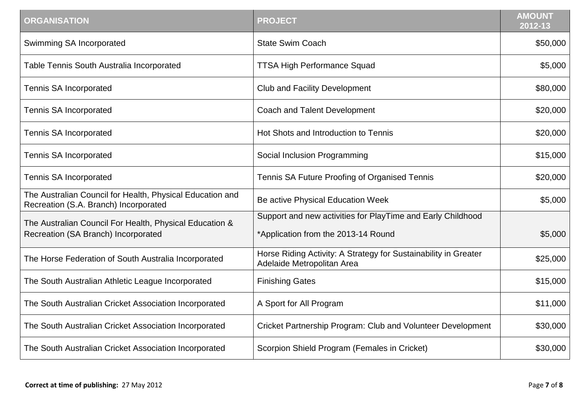| <b>ORGANISATION</b>                                                                                | <b>PROJECT</b>                                                                                     | <b>AMOUNT</b><br>$2012 - 13$ |
|----------------------------------------------------------------------------------------------------|----------------------------------------------------------------------------------------------------|------------------------------|
| Swimming SA Incorporated                                                                           | <b>State Swim Coach</b>                                                                            | \$50,000                     |
| Table Tennis South Australia Incorporated                                                          | <b>TTSA High Performance Squad</b>                                                                 | \$5,000                      |
| Tennis SA Incorporated                                                                             | <b>Club and Facility Development</b>                                                               | \$80,000                     |
| <b>Tennis SA Incorporated</b>                                                                      | <b>Coach and Talent Development</b>                                                                | \$20,000                     |
| Tennis SA Incorporated                                                                             | Hot Shots and Introduction to Tennis                                                               | \$20,000                     |
| Tennis SA Incorporated                                                                             | Social Inclusion Programming                                                                       | \$15,000                     |
| Tennis SA Incorporated                                                                             | Tennis SA Future Proofing of Organised Tennis                                                      | \$20,000                     |
| The Australian Council for Health, Physical Education and<br>Recreation (S.A. Branch) Incorporated | Be active Physical Education Week                                                                  | \$5,000                      |
| The Australian Council For Health, Physical Education &<br>Recreation (SA Branch) Incorporated     | Support and new activities for PlayTime and Early Childhood<br>*Application from the 2013-14 Round | \$5,000                      |
| The Horse Federation of South Australia Incorporated                                               | Horse Riding Activity: A Strategy for Sustainability in Greater<br>Adelaide Metropolitan Area      | \$25,000                     |
| The South Australian Athletic League Incorporated                                                  | <b>Finishing Gates</b>                                                                             | \$15,000                     |
| The South Australian Cricket Association Incorporated                                              | A Sport for All Program                                                                            | \$11,000                     |
| The South Australian Cricket Association Incorporated                                              | Cricket Partnership Program: Club and Volunteer Development                                        | \$30,000                     |
| The South Australian Cricket Association Incorporated                                              | Scorpion Shield Program (Females in Cricket)                                                       | \$30,000                     |